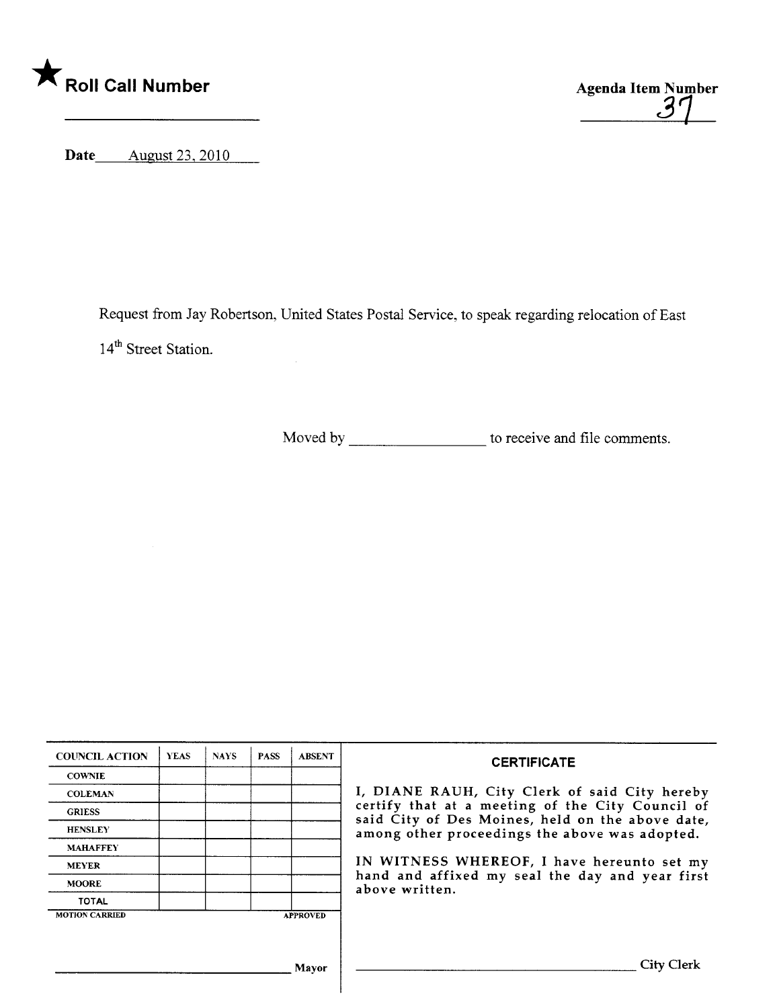



Date August 23, 2010

Request from Jay Robertson, United States Postal Service, to speak regarding relocation of East 14<sup>th</sup> Street Station.

Moved by to receive and file comments.

| <b>COUNCIL ACTION</b> | <b>YEAS</b> | <b>NAYS</b> | <b>PASS</b> | <b>ABSENT</b>   | <b>CERTIFICATE</b><br>I, DIANE RAUH, City Clerk of said City hereby<br>certify that at a meeting of the City Council of<br>said City of Des Moines, held on the above date,<br>among other proceedings the above was adopted.<br>IN WITNESS WHEREOF, I have hereunto set my<br>hand and affixed my seal the day and year first<br>above written. |
|-----------------------|-------------|-------------|-------------|-----------------|--------------------------------------------------------------------------------------------------------------------------------------------------------------------------------------------------------------------------------------------------------------------------------------------------------------------------------------------------|
| <b>COWNIE</b>         |             |             |             |                 |                                                                                                                                                                                                                                                                                                                                                  |
| <b>COLEMAN</b>        |             |             |             |                 |                                                                                                                                                                                                                                                                                                                                                  |
| <b>GRIESS</b>         |             |             |             |                 |                                                                                                                                                                                                                                                                                                                                                  |
| <b>HENSLEY</b>        |             |             |             |                 |                                                                                                                                                                                                                                                                                                                                                  |
| <b>MAHAFFEY</b>       |             |             |             |                 |                                                                                                                                                                                                                                                                                                                                                  |
| <b>MEYER</b>          |             |             |             |                 |                                                                                                                                                                                                                                                                                                                                                  |
| <b>MOORE</b>          |             |             |             |                 |                                                                                                                                                                                                                                                                                                                                                  |
| <b>TOTAL</b>          |             |             |             |                 |                                                                                                                                                                                                                                                                                                                                                  |
| <b>MOTION CARRIED</b> |             |             |             | <b>APPROVED</b> |                                                                                                                                                                                                                                                                                                                                                  |
|                       |             |             |             |                 |                                                                                                                                                                                                                                                                                                                                                  |
|                       |             |             |             |                 |                                                                                                                                                                                                                                                                                                                                                  |
|                       |             |             |             | Mavor           | City Clerk                                                                                                                                                                                                                                                                                                                                       |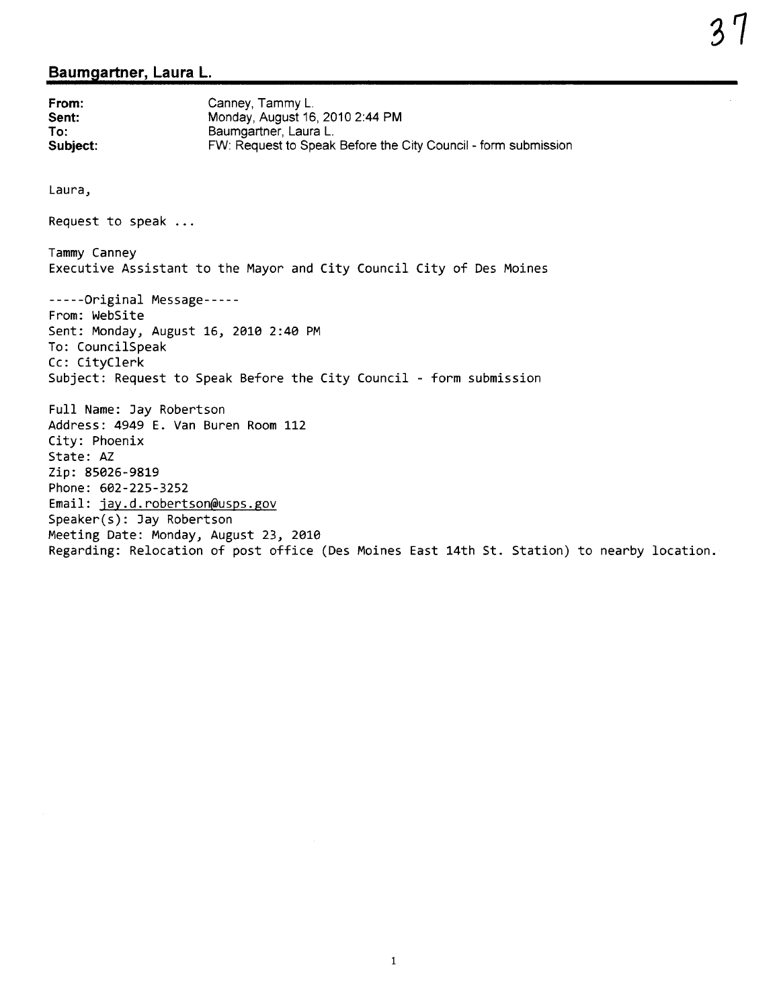## Baumgartner, Laura L.

From: Sent: To: Subject: Canney, Tammy L. Monday, August 16, 2010 2:44 PM Baumgartner, Laura L. FW: Request to Speak Before the City Council - form submission Laura, Request to speak Tammy Canney Executive Assistant to the Mayor and City Council City of Des Moines -----Original Message----- From: WebSite Sent: Monday, August 16, 2Ø1Ø 2: 4Ø PM To: CouncilSpeak Cc: CityClerk Subject: Request to Speak Before the City Council - form submission Full Name: Jay Robertson Address: 4949 E. Van Buren Room 112 City: Phoenix State: AZ Zip: 85Ø26-9819 Phone: 6Ø2-225-3252 Email: jay.d.robertson@usps.gov Speaker(s): Jay Robertson Meeting Date: Monday, August 23, 2Ø1Ø Regarding: Relocation of post office (Des Moines East 14th St. Station) to nearby location.